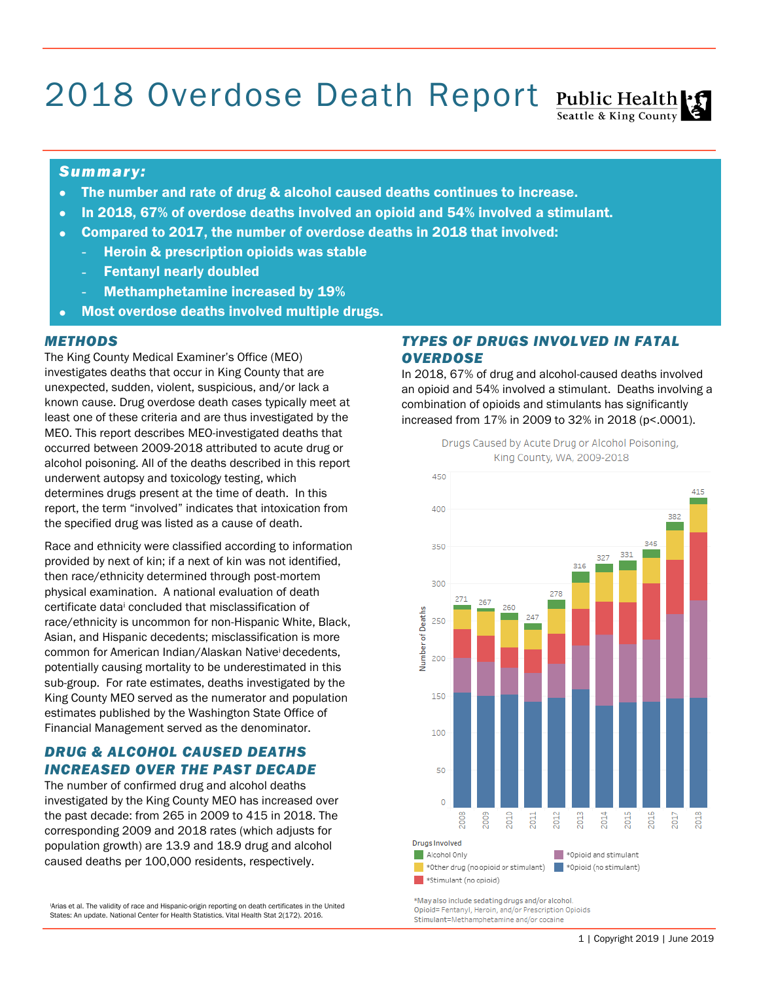# 2018 Overdose Death Report Public Health

# Seattle & King County

#### *Summary:*

- The number and rate of drug & alcohol caused deaths continues to increase.
- In 2018, 67% of overdose deaths involved an opioid and 54% involved a stimulant.
- Compared to 2017, the number of overdose deaths in 2018 that involved:
	- Heroin & prescription opioids was stable
	- **Fentanyl nearly doubled**
	- Methamphetamine increased by 19%
	- Most overdose deaths involved multiple drugs.

#### *METHODS*

The King County Medical Examiner's Office (MEO) investigates deaths that occur in King County that are unexpected, sudden, violent, suspicious, and/or lack a known cause. Drug overdose death cases typically meet at least one of these criteria and are thus investigated by the MEO. This report describes MEO-investigated deaths that occurred between 2009-2018 attributed to acute drug or alcohol poisoning. All of the deaths described in this report underwent autopsy and toxicology testing, which determines drugs present at the time of death. In this report, the term "involved" indicates that intoxication from the specified drug was listed as a cause of death.

Race and ethnicity were classified according to information provided by next of kin; if a next of kin was not identified, then race/ethnicity determined through post-mortem physical examination. A national evaluation of death certificate data<sup>i</sup> concluded that misclassification of race/ethnicity is uncommon for non-Hispanic White, Black, Asian, and Hispanic decedents; misclassification is more common for American Indian/Alaskan Native<sup>i</sup> decedents, potentially causing mortality to be underestimated in this sub-group. For rate estimates, deaths investigated by the King County MEO served as the numerator and population estimates published by the Washington State Office of Financial Management served as the denominator.

## *DRUG & ALCOHOL CAUSED DEATHS INCREASED OVER THE PAST DECADE*

The number of confirmed drug and alcohol deaths investigated by the King County MEO has increased over the past decade: from 265 in 2009 to 415 in 2018. The corresponding 2009 and 2018 rates (which adjusts for population growth) are 13.9 and 18.9 drug and alcohol caused deaths per 100,000 residents, respectively.

<sup>i</sup>Arias et al. The validity of race and Hispanic-origin reporting on death certificates in the United States: An update. National Center for Health Statistics. Vital Health Stat 2(172). 2016.

### *TYPES OF DRUGS INVOLVED IN FATAL OVERDOSE*

In 2018, 67% of drug and alcohol-caused deaths involved an opioid and 54% involved a stimulant. Deaths involving a combination of opioids and stimulants has significantly increased from 17% in 2009 to 32% in 2018 (p<.0001).

 $450$ 415 400 382 350 331 327 316 300 278 260 **Jumber of Deaths** 250 200 150 100 50  $\circ$ **800s eoos** 2010 2012 2013 2014 2015  $2011$ **Drugs Involved** Alcohol Only \*\* Opioid and stimulant \*Other drug (no opioid or stimulant) | \*Opioid (no stimulant) \*Stimulant (no opioid)

Drugs Caused by Acute Drug or Alcohol Poisoning, King County, WA, 2009-2018

\*May also include sedating drugs and/or alcohol. Opioid=Fentanyl, Heroin, and/or Prescription Opioids Stimulant=Methamphetamine and/or cocaine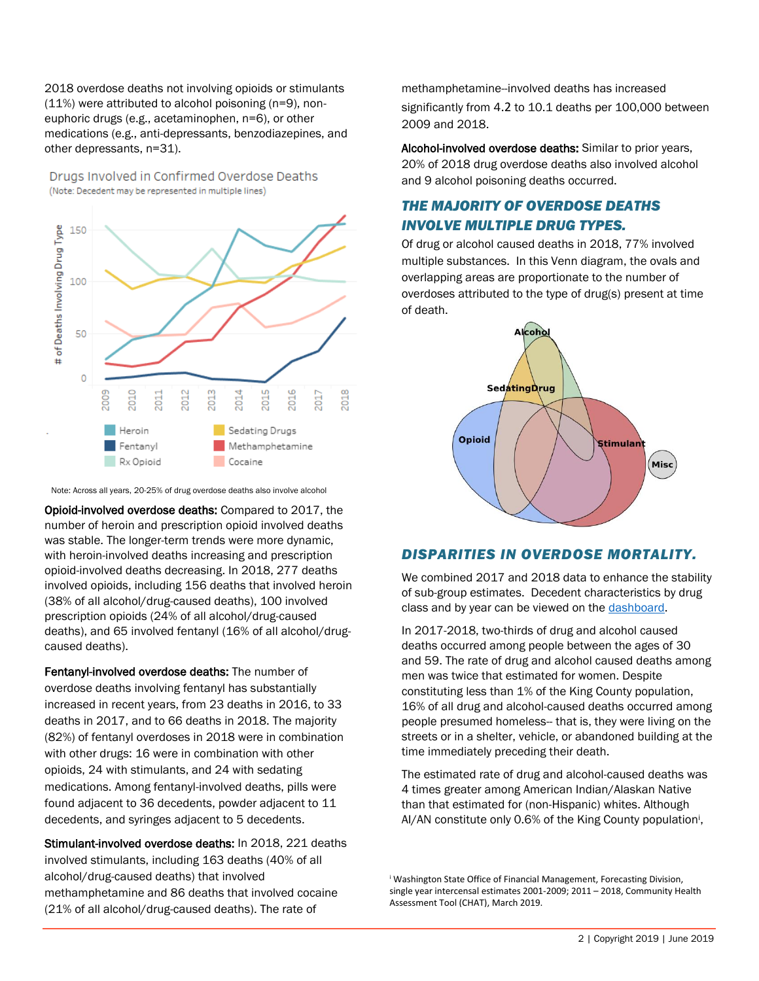2018 overdose deaths not involving opioids or stimulants (11%) were attributed to alcohol poisoning (n=9), noneuphoric drugs (e.g., acetaminophen, n=6), or other medications (e.g., anti-depressants, benzodiazepines, and other depressants, n=31).

Drugs Involved in Confirmed Overdose Deaths (Note: Decedent may be represented in multiple lines)



Note: Across all years, 20-25% of drug overdose deaths also involve alcohol

Opioid-involved overdose deaths: Compared to 2017, the number of heroin and prescription opioid involved deaths was stable. The longer-term trends were more dynamic, with heroin-involved deaths increasing and prescription opioid-involved deaths decreasing. In 2018, 277 deaths involved opioids, including 156 deaths that involved heroin (38% of all alcohol/drug-caused deaths), 100 involved prescription opioids (24% of all alcohol/drug-caused deaths), and 65 involved fentanyl (16% of all alcohol/drugcaused deaths).

Fentanyl-involved overdose deaths: The number of overdose deaths involving fentanyl has substantially increased in recent years, from 23 deaths in 2016, to 33 deaths in 2017, and to 66 deaths in 2018. The majority (82%) of fentanyl overdoses in 2018 were in combination with other drugs: 16 were in combination with other opioids, 24 with stimulants, and 24 with sedating medications. Among fentanyl-involved deaths, pills were found adjacent to 36 decedents, powder adjacent to 11 decedents, and syringes adjacent to 5 decedents.

Stimulant-involved overdose deaths: In 2018, 221 deaths involved stimulants, including 163 deaths (40% of all alcohol/drug-caused deaths) that involved methamphetamine and 86 deaths that involved cocaine (21% of all alcohol/drug-caused deaths). The rate of

methamphetamine--involved deaths has increased significantly from 4.2 to 10.1 deaths per 100,000 between 2009 and 2018.

Alcohol-involved overdose deaths: Similar to prior years, 20% of 2018 drug overdose deaths also involved alcohol and 9 alcohol poisoning deaths occurred.

# *THE MAJORITY OF OVERDOSE DEATHS INVOLVE MULTIPLE DRUG TYPES.*

Of drug or alcohol caused deaths in 2018, 77% involved multiple substances. In this Venn diagram, the ovals and overlapping areas are proportionate to the number of overdoses attributed to the type of drug(s) present at time of death.



#### *DISPARITIES IN OVERDOSE MORTALITY.*

We combined 2017 and 2018 data to enhance the stability of sub-group estimates. Decedent characteristics by drug class and by year can be viewed on the [dashboard.](https://kingcounty.gov/depts/health/examiner/overdose.aspx)

In 2017-2018, two-thirds of drug and alcohol caused deaths occurred among people between the ages of 30 and 59. The rate of drug and alcohol caused deaths among men was twice that estimated for women. Despite constituting less than 1% of the King County population, 16% of all drug and alcohol-caused deaths occurred among people presumed homeless-- that is, they were living on the streets or in a shelter, vehicle, or abandoned building at the time immediately preceding their death.

The estimated rate of drug and alcohol-caused deaths was 4 times greater among American Indian/Alaskan Native than that estimated for (non-Hispanic) whites. Although AI/AN constitute only 0.6% of the King County population<sup>i</sup>,

<sup>i</sup> Washington State Office of Financial Management, Forecasting Division, single year intercensal estimates 2001-2009; 2011 – 2018, Community Health Assessment Tool (CHAT), March 2019.